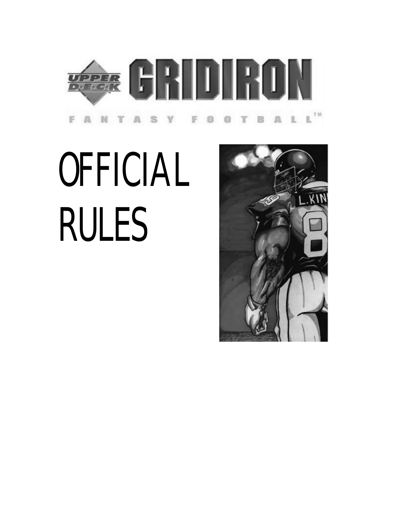

# **OFFICIAL** RULES

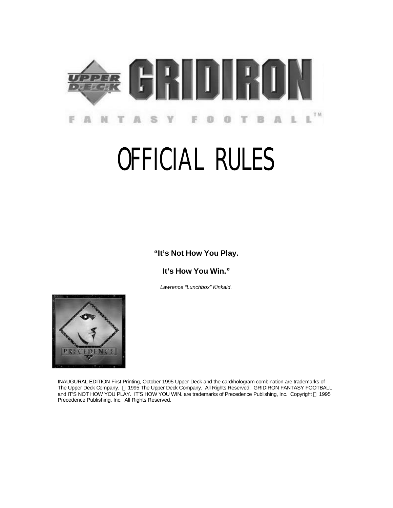

# OFFICIAL RULES

**"It's Not How You Play.**

**It's How You Win."**

*Lawrence "Lunchbox" Kinkaid.*



INAUGURAL EDITION First Printing, October 1995 Upper Deck and the card/hologram combination are trademarks of The Upper Deck Company. © 1995 The Upper Deck Company. All Rights Reserved. GRIDIRON FANTASY FOOTBALL and IT'S NOT HOW YOU PLAY. IT'S HOW YOU WIN. are trademarks of Precedence Publishing, Inc. Copyright © 1995 Precedence Publishing, Inc. All Rights Reserved.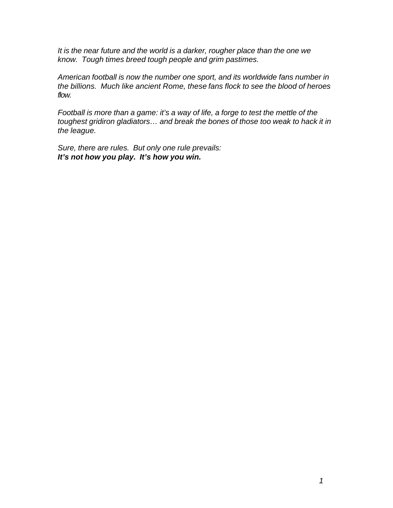*It is the near future and the world is a darker, rougher place than the one we know. Tough times breed tough people and grim pastimes.*

*American football is now the number one sport, and its worldwide fans number in the billions. Much like ancient Rome, these fans flock to see the blood of heroes flow.*

*Football is more than a game: it's a way of life, a forge to test the mettle of the toughest gridiron gladiators… and break the bones of those too weak to hack it in the league.*

*Sure, there are rules. But only one rule prevails: It's not how you play. It's how you win.*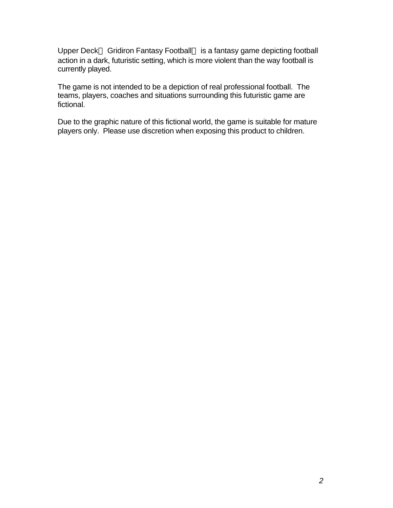Upper Deck<sup>™</sup> Gridiron Fantasy Football™ is a fantasy game depicting football action in a dark, futuristic setting, which is more violent than the way football is currently played.

The game is not intended to be a depiction of real professional football. The teams, players, coaches and situations surrounding this futuristic game are fictional.

Due to the graphic nature of this fictional world, the game is suitable for mature players only. Please use discretion when exposing this product to children.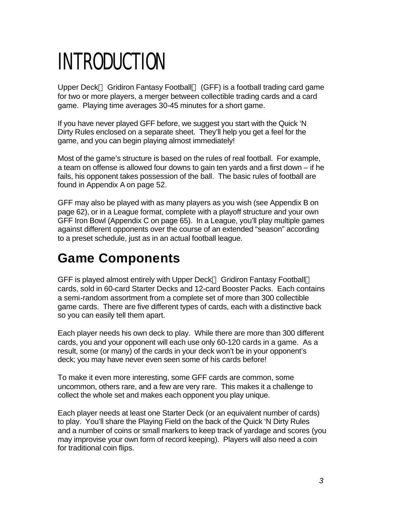# INTRODUCTION

Upper Deck<sup>TM</sup> Gridiron Fantasy Football<sup>TM</sup> (GFF) is a football trading card game for two or more players, a merger between collectible trading cards and a card game. Playing time averages 30-45 minutes for a short game.

If you have never played GFF before, we suggest you start with the Quick 'N Dirty Rules enclosed on a separate sheet. They'll help you get a feel for the game, and you can begin playing almost immediately!

Most of the game's structure is based on the rules of real football. For example, a team on offense is allowed four downs to gain ten yards and a first down – if he fails, his opponent takes possession of the ball. The basic rules of football are found in Appendix A on page 52.

GFF may also be played with as many players as you wish (see Appendix B on page 62), or in a League format, complete with a playoff structure and your own GFF Iron Bowl (Appendix C on page 65). In a League, you'll play multiple games against different opponents over the course of an extended "season" according to a preset schedule, just as in an actual football league.

#### **Game Components**

GFF is played almost entirely with Upper Deck™ Gridiron Fantasy Football™ cards, sold in 60-card Starter Decks and 12-card Booster Packs. Each contains a semi-random assortment from a complete set of more than 300 collectible game cards. There are five different types of cards, each with a distinctive back so you can easily tell them apart.

Each player needs his own deck to play. While there are more than 300 different cards, you and your opponent will each use only 60-120 cards in a game. As a result, some (or many) of the cards in your deck won't be in your opponent's deck; you may have never even seen some of his cards before!

To make it even more interesting, some GFF cards are common, some uncommon, others rare, and a few are very rare. This makes it a challenge to collect the whole set and makes each opponent you play unique.

Each player needs at least one Starter Deck (or an equivalent number of cards) to play. You'll share the Playing Field on the back of the Quick 'N Dirty Rules and a number of coins or small markers to keep track of yardage and scores (you may improvise your own form of record keeping). Players will also need a coin for traditional coin flips.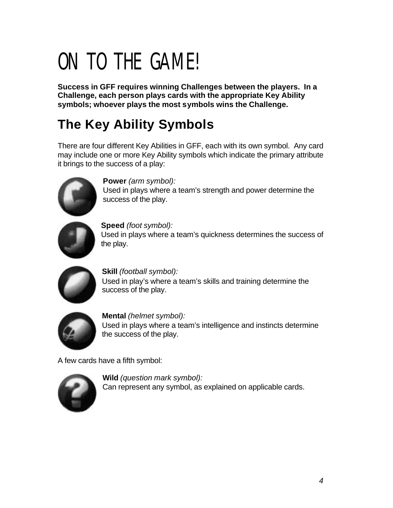# ON TO THE GAME!

**Success in GFF requires winning Challenges between the players. In a Challenge, each person plays cards with the appropriate Key Ability symbols; whoever plays the most symbols wins the Challenge.**

### **The Key Ability Symbols**

There are four different Key Abilities in GFF, each with its own symbol. Any card may include one or more Key Ability symbols which indicate the primary attribute it brings to the success of a play:



**Power** *(arm symbol):* Used in plays where a team's strength and power determine the success of the play.



**Speed** *(foot symbol):* Used in plays where a team's quickness determines the success of the play.



**Skill** *(football symbol):* Used in play's where a team's skills and training determine the success of the play.



**Mental** *(helmet symbol):* Used in plays where a team's intelligence and instincts determine the success of the play.

A few cards have a fifth symbol:



**Wild** *(question mark symbol):* Can represent any symbol, as explained on applicable cards.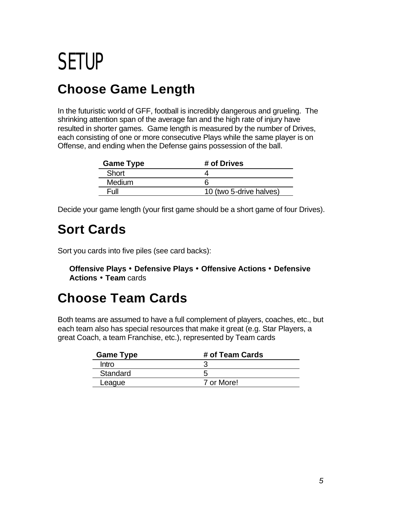### SETUP

#### **Choose Game Length**

In the futuristic world of GFF, football is incredibly dangerous and grueling. The shrinking attention span of the average fan and the high rate of injury have resulted in shorter games. Game length is measured by the number of Drives, each consisting of one or more consecutive Plays while the same player is on Offense, and ending when the Defense gains possession of the ball.

| <b>Game Type</b> | # of Drives             |  |  |  |  |  |
|------------------|-------------------------|--|--|--|--|--|
| Short            |                         |  |  |  |  |  |
| <b>Medium</b>    |                         |  |  |  |  |  |
| Full             | 10 (two 5-drive halves) |  |  |  |  |  |

Decide your game length (your first game should be a short game of four Drives).

#### **Sort Cards**

Sort you cards into five piles (see card backs):

**Offensive Plays · Defensive Plays · Offensive Actions · Defensive Actions · Team** cards

#### **Choose Team Cards**

Both teams are assumed to have a full complement of players, coaches, etc., but each team also has special resources that make it great (e.g. Star Players, a great Coach, a team Franchise, etc.), represented by Team cards

| <b>Game Type</b> | # of Team Cards |  |  |  |  |  |
|------------------|-----------------|--|--|--|--|--|
| Intro            |                 |  |  |  |  |  |
| Standard         |                 |  |  |  |  |  |
| League           | 7 or More!      |  |  |  |  |  |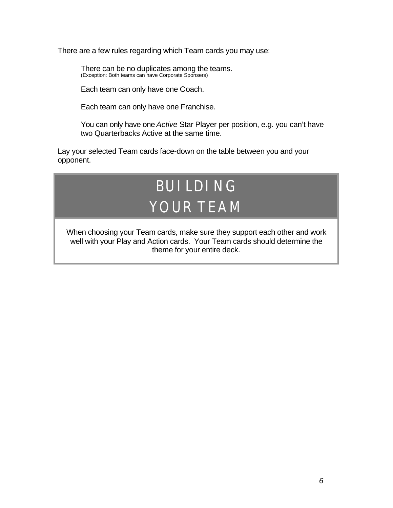There are a few rules regarding which Team cards you may use:

There can be no duplicates among the teams. (Exception: Both teams can have Corporate Sponsers)

Each team can only have one Coach.

Each team can only have one Franchise.

You can only have one *Active* Star Player per position, e.g. you can't have two Quarterbacks Active at the same time.

Lay your selected Team cards face-down on the table between you and your opponent.

### BUILDING YOUR TEAM

When choosing your Team cards, make sure they support each other and work well with your Play and Action cards. Your Team cards should determine the theme for your entire deck.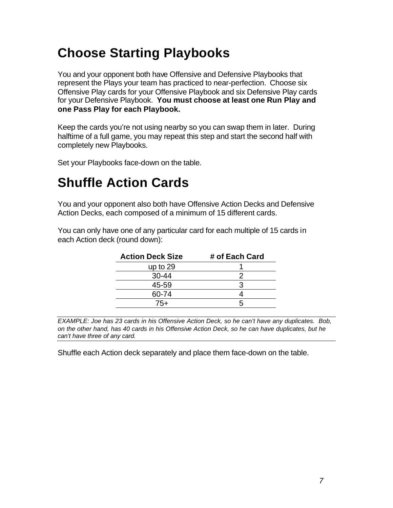#### **Choose Starting Playbooks**

You and your opponent both have Offensive and Defensive Playbooks that represent the Plays your team has practiced to near-perfection. Choose six Offensive Play cards for your Offensive Playbook and six Defensive Play cards for your Defensive Playbook. **You must choose at least one Run Play and one Pass Play for each Playbook.**

Keep the cards you're not using nearby so you can swap them in later. During halftime of a full game, you may repeat this step and start the second half with completely new Playbooks.

Set your Playbooks face-down on the table.

#### **Shuffle Action Cards**

You and your opponent also both have Offensive Action Decks and Defensive Action Decks, each composed of a minimum of 15 different cards.

You can only have one of any particular card for each multiple of 15 cards in each Action deck (round down):

| <b>Action Deck Size</b> | # of Each Card |  |  |  |  |  |
|-------------------------|----------------|--|--|--|--|--|
| up to $29$              |                |  |  |  |  |  |
| $30 - 44$               |                |  |  |  |  |  |
| 45-59                   |                |  |  |  |  |  |
| 60-74                   |                |  |  |  |  |  |
| 75+                     |                |  |  |  |  |  |
|                         |                |  |  |  |  |  |

*EXAMPLE: Joe has 23 cards in his Offensive Action Deck, so he can't have any duplicates. Bob, on the other hand, has 40 cards in his Offensive Action Deck, so he can have duplicates, but he can't have three of any card.*

Shuffle each Action deck separately and place them face-down on the table.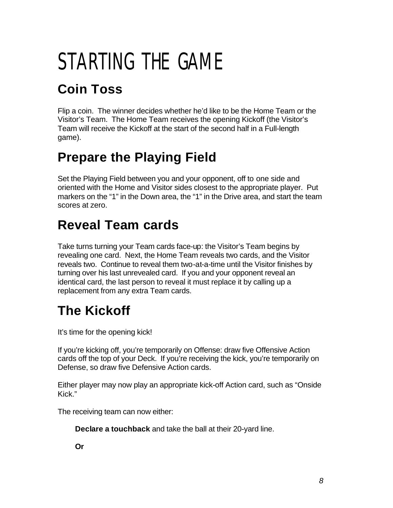# STARTING THE GAME

### **Coin Toss**

Flip a coin. The winner decides whether he'd like to be the Home Team or the Visitor's Team. The Home Team receives the opening Kickoff (the Visitor's Team will receive the Kickoff at the start of the second half in a Full-length game).

#### **Prepare the Playing Field**

Set the Playing Field between you and your opponent, off to one side and oriented with the Home and Visitor sides closest to the appropriate player. Put markers on the "1" in the Down area, the "1" in the Drive area, and start the team scores at zero.

#### **Reveal Team cards**

Take turns turning your Team cards face-up: the Visitor's Team begins by revealing one card. Next, the Home Team reveals two cards, and the Visitor reveals two. Continue to reveal them two-at-a-time until the Visitor finishes by turning over his last unrevealed card. If you and your opponent reveal an identical card, the last person to reveal it must replace it by calling up a replacement from any extra Team cards.

#### **The Kickoff**

It's time for the opening kick!

If you're kicking off, you're temporarily on Offense: draw five Offensive Action cards off the top of your Deck. If you're receiving the kick, you're temporarily on Defense, so draw five Defensive Action cards.

Either player may now play an appropriate kick-off Action card, such as "Onside Kick."

The receiving team can now either:

**Declare a touchback** and take the ball at their 20-yard line.

**Or**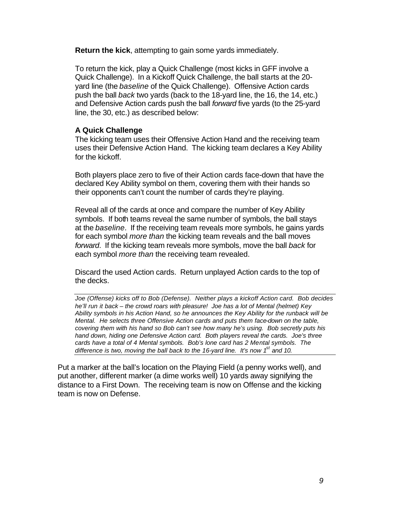**Return the kick**, attempting to gain some yards immediately.

To return the kick, play a Quick Challenge (most kicks in GFF involve a Quick Challenge). In a Kickoff Quick Challenge, the ball starts at the 20 yard line (the *baseline* of the Quick Challenge). Offensive Action cards push the ball *back* two yards (back to the 18-yard line, the 16, the 14, etc.) and Defensive Action cards push the ball *forward* five yards (to the 25-yard line, the 30, etc.) as described below:

#### **A Quick Challenge**

The kicking team uses their Offensive Action Hand and the receiving team uses their Defensive Action Hand. The kicking team declares a Key Ability for the kickoff.

Both players place zero to five of their Action cards face-down that have the declared Key Ability symbol on them, covering them with their hands so their opponents can't count the number of cards they're playing.

Reveal all of the cards at once and compare the number of Key Ability symbols. If both teams reveal the same number of symbols, the ball stays at the *baseline*. If the receiving team reveals more symbols, he gains yards for each symbol *more than* the kicking team reveals and the ball moves *forward*. If the kicking team reveals more symbols, move the ball *back* for each symbol *more than* the receiving team revealed.

Discard the used Action cards. Return unplayed Action cards to the top of the decks.

*Joe (Offense) kicks off to Bob (Defense). Neither plays a kickoff Action card. Bob decides he'll run it back – the crowd roars with pleasure! Joe has a lot of Mental (helmet) Key Ability symbols in his Action Hand, so he announces the Key Ability for the runback will be Mental. He selects three Offensive Action cards and puts them face-down on the table, covering them with his hand so Bob can't see how many he's using. Bob secretly puts his hand down, hiding one Defensive Action card. Both players reveal the cards. Joe's three cards have a total of 4 Mental symbols. Bob's lone card has 2 Mental symbols. The difference is two, moving the ball back to the 16-yard line. It's now 1st and 10.*

Put a marker at the ball's location on the Playing Field (a penny works well), and put another, different marker (a dime works well) 10 yards away signifying the distance to a First Down. The receiving team is now on Offense and the kicking team is now on Defense.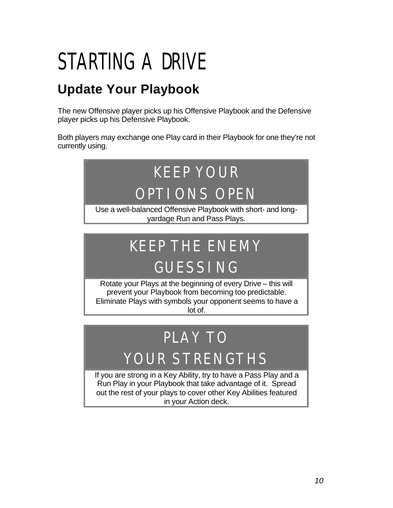# STARTING A DRIVE

#### **Update Your Playbook**

The new Offensive player picks up his Offensive Playbook and the Defensive player picks up his Defensive Playbook.

Both players may exchange one Play card in their Playbook for one they're not currently using.

#### KEEP YOUR OPTIONS OPEN Use a well-balanced Offensive Playbook with short- and longyardage Run and Pass Plays.

### KEEP THE ENEMY GUESSING

Rotate your Plays at the beginning of every Drive – this will prevent your Playbook from becoming too predictable. Eliminate Plays with symbols your opponent seems to have a lot of.

### PLAY TO

### YOUR STRENGTHS

If you are strong in a Key Ability, try to have a Pass Play and a Run Play in your Playbook that take advantage of it. Spread out the rest of your plays to cover other Key Abilities featured in your Action deck.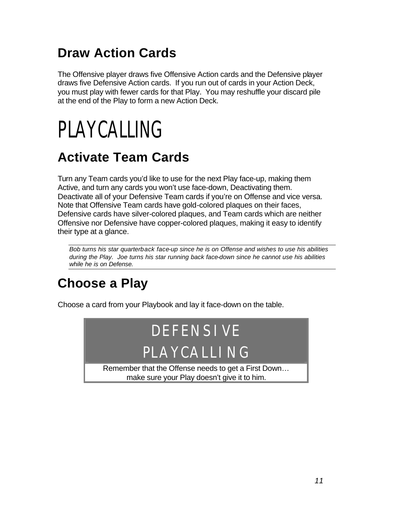#### **Draw Action Cards**

The Offensive player draws five Offensive Action cards and the Defensive player draws five Defensive Action cards. If you run out of cards in your Action Deck, you must play with fewer cards for that Play. You may reshuffle your discard pile at the end of the Play to form a new Action Deck.

# PLAYCALLING

#### **Activate Team Cards**

Turn any Team cards you'd like to use for the next Play face-up, making them Active, and turn any cards you won't use face-down, Deactivating them. Deactivate all of your Defensive Team cards if you're on Offense and vice versa. Note that Offensive Team cards have gold-colored plaques on their faces, Defensive cards have silver-colored plaques, and Team cards which are neither Offensive nor Defensive have copper-colored plaques, making it easy to identify their type at a glance.

*Bob turns his star quarterback face-up since he is on Offense and wishes to use his abilities during the Play. Joe turns his star running back face-down since he cannot use his abilities while he is on Defense.*

#### **Choose a Play**

Choose a card from your Playbook and lay it face-down on the table.

### DEFENSIVE PLAYCALLING Remember that the Offense needs to get a First Down…

make sure your Play doesn't give it to him.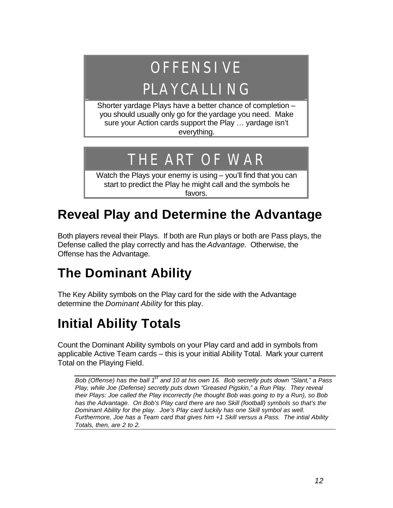### OFFENSIVE

### PLAYCALLING

Shorter yardage Plays have a better chance of completion – you should usually only go for the yardage you need. Make sure your Action cards support the Play … yardage isn't everything.

### THE ART OF WAR

Watch the Plays your enemy is using – you'll find that you can start to predict the Play he might call and the symbols he favors.

#### **Reveal Play and Determine the Advantage**

Both players reveal their Plays. If both are Run plays or both are Pass plays, the Defense called the play correctly and has the *Advantage.* Otherwise, the Offense has the Advantage.

#### **The Dominant Ability**

The Key Ability symbols on the Play card for the side with the Advantage determine the *Dominant Ability* for this play.

#### **Initial Ability Totals**

Count the Dominant Ability symbols on your Play card and add in symbols from applicable Active Team cards – this is your initial Ability Total. Mark your current Total on the Playing Field.

*Bob (Offense) has the ball 1st and 10 at his own 16. Bob secretly puts down "Slant," a Pass Play, while Joe (Defense) secretly puts down "Greased Pigskin," a Run Play. They reveal their Plays: Joe called the Play incorrectly (he thought Bob was going to try a Run), so Bob*  has the Advantage. On Bob's Play card there are two Skill (football) symbols so that's the *Dominant Ability for the play. Joe's Play card luckily has one Skill symbol as well. Furthermore, Joe has a Team card that gives him +1 Skill versus a Pass. The intial Ability Totals, then, are 2 to 2.*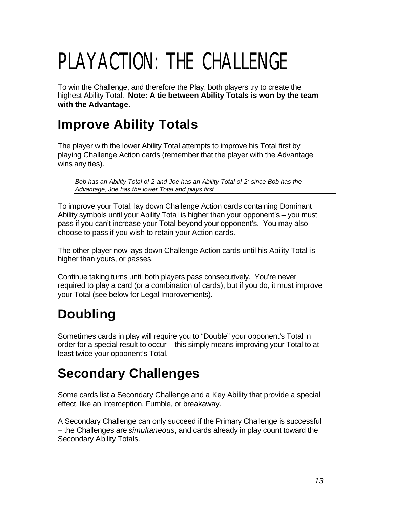# PLAYACTION: THE CHALLENGE

To win the Challenge, and therefore the Play, both players try to create the highest Ability Total. **Note: A tie between Ability Totals is won by the team with the Advantage.**

#### **Improve Ability Totals**

The player with the lower Ability Total attempts to improve his Total first by playing Challenge Action cards (remember that the player with the Advantage wins any ties).

*Bob has an Ability Total of 2 and Joe has an Ability Total of 2: since Bob has the Advantage, Joe has the lower Total and plays first.*

To improve your Total, lay down Challenge Action cards containing Dominant Ability symbols until your Ability Total is higher than your opponent's – you must pass if you can't increase your Total beyond your opponent's. You may also choose to pass if you wish to retain your Action cards.

The other player now lays down Challenge Action cards until his Ability Total is higher than yours, or passes.

Continue taking turns until both players pass consecutively. You're never required to play a card (or a combination of cards), but if you do, it must improve your Total (see below for Legal Improvements).

#### **Doubling**

Sometimes cards in play will require you to "Double" your opponent's Total in order for a special result to occur – this simply means improving your Total to at least twice your opponent's Total.

#### **Secondary Challenges**

Some cards list a Secondary Challenge and a Key Ability that provide a special effect, like an Interception, Fumble, or breakaway.

A Secondary Challenge can only succeed if the Primary Challenge is successful – the Challenges are *simultaneous*, and cards already in play count toward the Secondary Ability Totals.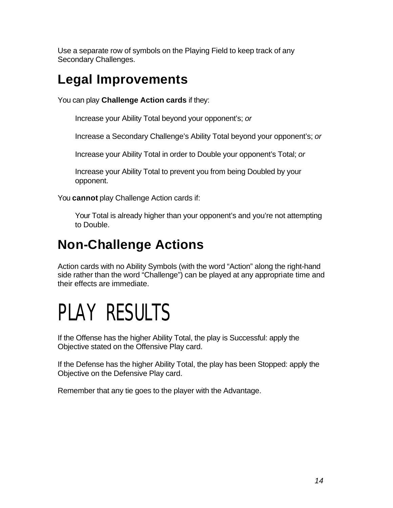Use a separate row of symbols on the Playing Field to keep track of any Secondary Challenges.

#### **Legal Improvements**

You can play **Challenge Action cards** if they:

Increase your Ability Total beyond your opponent's; *or*

Increase a Secondary Challenge's Ability Total beyond your opponent's; *or*

Increase your Ability Total in order to Double your opponent's Total; *or*

Increase your Ability Total to prevent you from being Doubled by your opponent.

You **cannot** play Challenge Action cards if:

Your Total is already higher than your opponent's and you're not attempting to Double.

#### **Non-Challenge Actions**

Action cards with no Ability Symbols (with the word "Action" along the right-hand side rather than the word "Challenge") can be played at any appropriate time and their effects are immediate.

### PLAY RESULTS

If the Offense has the higher Ability Total, the play is Successful: apply the Objective stated on the Offensive Play card.

If the Defense has the higher Ability Total, the play has been Stopped: apply the Objective on the Defensive Play card.

Remember that any tie goes to the player with the Advantage.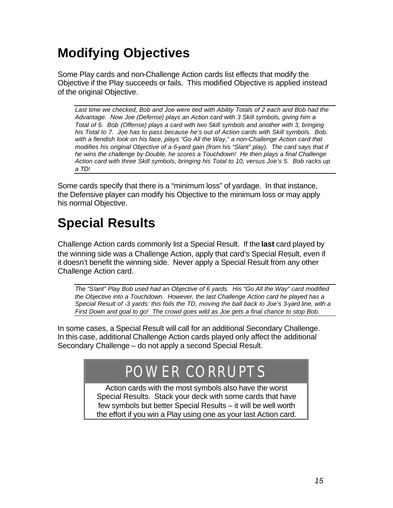#### **Modifying Objectives**

Some Play cards and non-Challenge Action cards list effects that modify the Objective if the Play succeeds or fails. This modified Objective is applied instead of the original Objective.

*Last time we checked, Bob and Joe were tied with Ability Totals of 2 each and Bob had the Advantage. Now Joe (Defense) plays an Action card with 3 Skill symbols, giving him a Total of 5. Bob (Offense) plays a card with two Skill symbols and another with 3, bringing his Total to 7. Joe has to pass because he's out of Action cards with Skill symbols. Bob, with a fiendish look on his face, plays "Go All the Way," a non-Challenge Action card that modifies his original Objective of a 6-yard gain (from his "Slant" play). The card says that if he wins the challenge by Double, he scores a Touchdown! He then plays a final Challenge Action card with three Skill symbols, bringing his Total to 10, versus Joe's 5. Bob racks up a TD!*

Some cards specify that there is a "minimum loss" of yardage. In that instance, the Defensive player can modify his Objective to the minimum loss or may apply his normal Objective.

#### **Special Results**

Challenge Action cards commonly list a Special Result. If the **last** card played by the winning side was a Challenge Action, apply that card's Special Result, even if it doesn't benefit the winning side. Never apply a Special Result from any other Challenge Action card.

*The "Slant" Play Bob used had an Objective of 6 yards. His "Go All the Way" card modified the Objective into a Touchdown. However, the last Challenge Action card he played has a Special Result of -3 yards: this foils the TD, moving the ball back to Joe's 3-yard line, with a First Down and goal to go! The crowd goes wild as Joe gets a final chance to stop Bob.*

In some cases, a Special Result will call for an additional Secondary Challenge. In this case, additional Challenge Action cards played only affect the additional Secondary Challenge – do not apply a second Special Result.

#### POWER CORRUPTS

Action cards with the most symbols also have the worst Special Results. Stack your deck with some cards that have few symbols but better Special Results – it will be well worth the effort if you win a Play using one as your last Action card.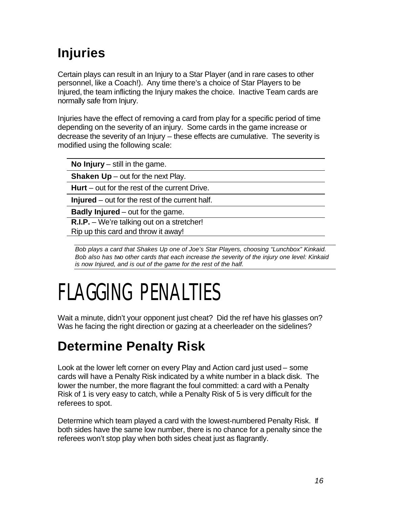#### **Injuries**

Certain plays can result in an Injury to a Star Player (and in rare cases to other personnel, like a Coach!). Any time there's a choice of Star Players to be Injured, the team inflicting the Injury makes the choice. Inactive Team cards are normally safe from Injury.

Injuries have the effect of removing a card from play for a specific period of time depending on the severity of an injury. Some cards in the game increase or decrease the severity of an Injury – these effects are cumulative. The severity is modified using the following scale:

**No Injury** – still in the game.

**Shaken Up** – out for the next Play.

**Hurt** – out for the rest of the current Drive.

**Injured** – out for the rest of the current half.

**Badly Injured** – out for the game.

**R.I.P.** – We're talking out on a stretcher!

Rip up this card and throw it away!

*Bob plays a card that Shakes Up one of Joe's Star Players, choosing "Lunchbox" Kinkaid. Bob also has two other cards that each increase the severity of the injury one level: Kinkaid is now Injured, and is out of the game for the rest of the half.*

### FLAGGING PENALTIES

Wait a minute, didn't your opponent just cheat? Did the ref have his glasses on? Was he facing the right direction or gazing at a cheerleader on the sidelines?

#### **Determine Penalty Risk**

Look at the lower left corner on every Play and Action card just used – some cards will have a Penalty Risk indicated by a white number in a black disk. The lower the number, the more flagrant the foul committed: a card with a Penalty Risk of 1 is very easy to catch, while a Penalty Risk of 5 is very difficult for the referees to spot.

Determine which team played a card with the lowest-numbered Penalty Risk. If both sides have the same low number, there is no chance for a penalty since the referees won't stop play when both sides cheat just as flagrantly.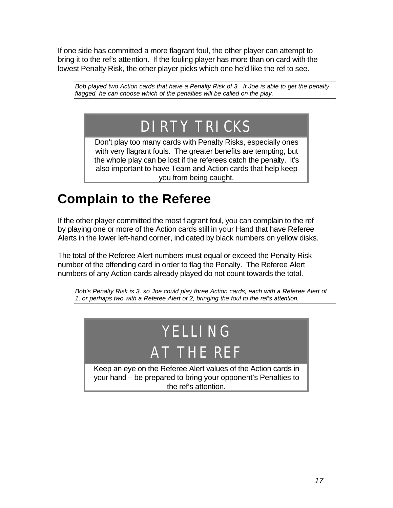If one side has committed a more flagrant foul, the other player can attempt to bring it to the ref's attention. If the fouling player has more than on card with the lowest Penalty Risk, the other player picks which one he'd like the ref to see.

*Bob played two Action cards that have a Penalty Risk of 3. If Joe is able to get the penalty flagged, he can choose which of the penalties will be called on the play.*

### DIRTY TRICKS

Don't play too many cards with Penalty Risks, especially ones with very flagrant fouls. The greater benefits are tempting, but the whole play can be lost if the referees catch the penalty. It's also important to have Team and Action cards that help keep you from being caught.

#### **Complain to the Referee**

If the other player committed the most flagrant foul, you can complain to the ref by playing one or more of the Action cards still in your Hand that have Referee Alerts in the lower left-hand corner, indicated by black numbers on yellow disks.

The total of the Referee Alert numbers must equal or exceed the Penalty Risk number of the offending card in order to flag the Penalty. The Referee Alert numbers of any Action cards already played do not count towards the total.

*Bob's Penalty Risk is 3, so Joe could play three Action cards, each with a Referee Alert of 1, or perhaps two with a Referee Alert of 2, bringing the foul to the ref's attention.*

### YELLING AT THE REF

Keep an eye on the Referee Alert values of the Action cards in your hand – be prepared to bring your opponent's Penalties to the ref's attention.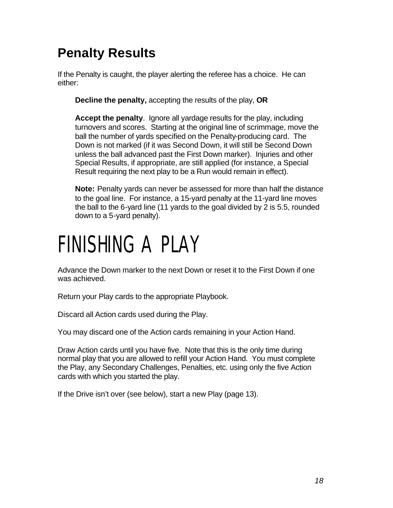#### **Penalty Results**

If the Penalty is caught, the player alerting the referee has a choice. He can either:

**Decline the penalty,** accepting the results of the play, **OR**

**Accept the penalty**. Ignore all yardage results for the play, including turnovers and scores. Starting at the original line of scrimmage, move the ball the number of yards specified on the Penalty-producing card. The Down is not marked (if it was Second Down, it will still be Second Down unless the ball advanced past the First Down marker). Injuries and other Special Results, if appropriate, are still applied (for instance, a Special Result requiring the next play to be a Run would remain in effect).

**Note:** Penalty yards can never be assessed for more than half the distance to the goal line. For instance, a 15-yard penalty at the 11-yard line moves the ball to the 6-yard line (11 yards to the goal divided by 2 is 5.5, rounded down to a 5-yard penalty).

### FINISHING A PLAY

Advance the Down marker to the next Down or reset it to the First Down if one was achieved.

Return your Play cards to the appropriate Playbook.

Discard all Action cards used during the Play.

You may discard one of the Action cards remaining in your Action Hand.

Draw Action cards until you have five. Note that this is the only time during normal play that you are allowed to refill your Action Hand. You must complete the Play, any Secondary Challenges, Penalties, etc. using only the five Action cards with which you started the play.

If the Drive isn't over (see below), start a new Play (page 13).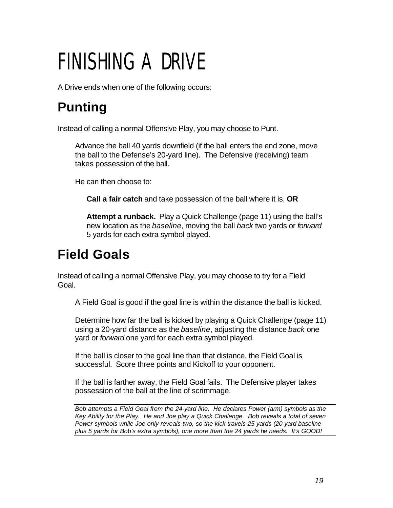# FINISHING A DRIVE

A Drive ends when one of the following occurs:

#### **Punting**

Instead of calling a normal Offensive Play, you may choose to Punt.

Advance the ball 40 yards downfield (if the ball enters the end zone, move the ball to the Defense's 20-yard line). The Defensive (receiving) team takes possession of the ball.

He can then choose to:

**Call a fair catch** and take possession of the ball where it is, **OR**

**Attempt a runback.** Play a Quick Challenge (page 11) using the ball's new location as the *baseline*, moving the ball *back* two yards or *forward* 5 yards for each extra symbol played.

#### **Field Goals**

Instead of calling a normal Offensive Play, you may choose to try for a Field Goal.

A Field Goal is good if the goal line is within the distance the ball is kicked.

Determine how far the ball is kicked by playing a Quick Challenge (page 11) using a 20-yard distance as the *baseline*, adjusting the distance *back* one yard or *forward* one yard for each extra symbol played.

If the ball is closer to the goal line than that distance, the Field Goal is successful. Score three points and Kickoff to your opponent.

If the ball is farther away, the Field Goal fails. The Defensive player takes possession of the ball at the line of scrimmage.

*Bob attempts a Field Goal from the 24-yard line. He declares Power (arm) symbols as the Key Ability for the Play. He and Joe play a Quick Challenge. Bob reveals a total of seven Power symbols while Joe only reveals two, so the kick travels 25 yards (20-yard baseline plus 5 yards for Bob's extra symbols), one more than the 24 yards he needs. It's GOOD!*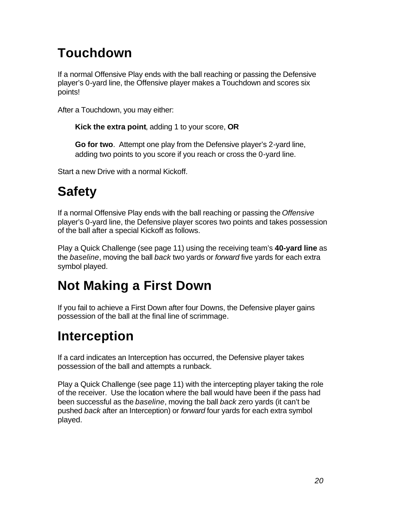#### **Touchdown**

If a normal Offensive Play ends with the ball reaching or passing the Defensive player's 0-yard line, the Offensive player makes a Touchdown and scores six points!

After a Touchdown, you may either:

**Kick the extra point**, adding 1 to your score, **OR**

**Go for two**. Attempt one play from the Defensive player's 2-yard line, adding two points to you score if you reach or cross the 0-yard line.

Start a new Drive with a normal Kickoff.

#### **Safety**

If a normal Offensive Play ends with the ball reaching or passing the *Offensive* player's 0-yard line, the Defensive player scores two points and takes possession of the ball after a special Kickoff as follows.

Play a Quick Challenge (see page 11) using the receiving team's **40-yard line** as the *baseline*, moving the ball *back* two yards or *forward* five yards for each extra symbol played.

#### **Not Making a First Down**

If you fail to achieve a First Down after four Downs, the Defensive player gains possession of the ball at the final line of scrimmage.

#### **Interception**

If a card indicates an Interception has occurred, the Defensive player takes possession of the ball and attempts a runback.

Play a Quick Challenge (see page 11) with the intercepting player taking the role of the receiver. Use the location where the ball would have been if the pass had been successful as the *baseline*, moving the ball *back* zero yards (it can't be pushed *back* after an Interception) or *forward* four yards for each extra symbol played.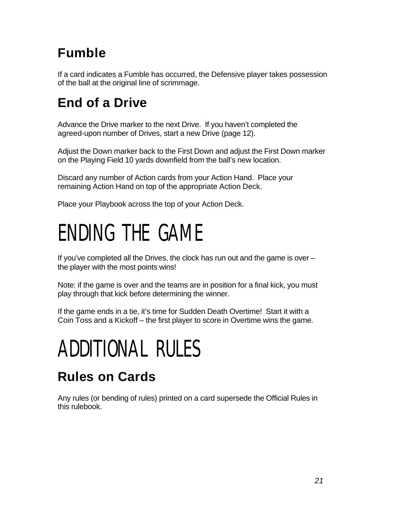#### **Fumble**

If a card indicates a Fumble has occurred, the Defensive player takes possession of the ball at the original line of scrimmage.

### **End of a Drive**

Advance the Drive marker to the next Drive. If you haven't completed the agreed-upon number of Drives, start a new Drive (page 12).

Adjust the Down marker back to the First Down and adjust the First Down marker on the Playing Field 10 yards downfield from the ball's new location.

Discard any number of Action cards from your Action Hand. Place your remaining Action Hand on top of the appropriate Action Deck.

Place your Playbook across the top of your Action Deck.

### ENDING THE GAME

If you've completed all the Drives, the clock has run out and the game is over – the player with the most points wins!

Note: if the game is over and the teams are in position for a final kick, you must play through that kick before determining the winner.

If the game ends in a tie, it's time for Sudden Death Overtime! Start it with a Coin Toss and a Kickoff – the first player to score in Overtime wins the game.

# ADDITIONAL RULES

#### **Rules on Cards**

Any rules (or bending of rules) printed on a card supersede the Official Rules in this rulebook.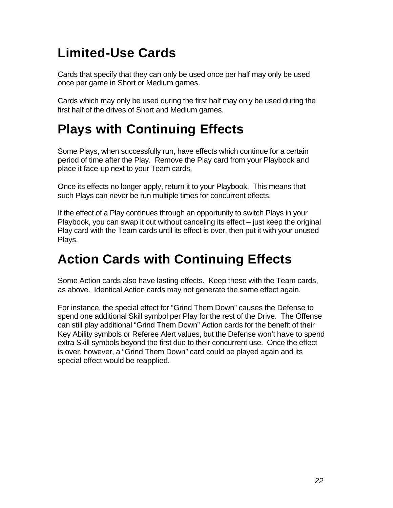#### **Limited-Use Cards**

Cards that specify that they can only be used once per half may only be used once per game in Short or Medium games.

Cards which may only be used during the first half may only be used during the first half of the drives of Short and Medium games.

#### **Plays with Continuing Effects**

Some Plays, when successfully run, have effects which continue for a certain period of time after the Play. Remove the Play card from your Playbook and place it face-up next to your Team cards.

Once its effects no longer apply, return it to your Playbook. This means that such Plays can never be run multiple times for concurrent effects.

If the effect of a Play continues through an opportunity to switch Plays in your Playbook, you can swap it out without canceling its effect – just keep the original Play card with the Team cards until its effect is over, then put it with your unused Plays.

#### **Action Cards with Continuing Effects**

Some Action cards also have lasting effects. Keep these with the Team cards, as above. Identical Action cards may not generate the same effect again.

For instance, the special effect for "Grind Them Down" causes the Defense to spend one additional Skill symbol per Play for the rest of the Drive. The Offense can still play additional "Grind Them Down" Action cards for the benefit of their Key Ability symbols or Referee Alert values, but the Defense won't have to spend extra Skill symbols beyond the first due to their concurrent use. Once the effect is over, however, a "Grind Them Down" card could be played again and its special effect would be reapplied.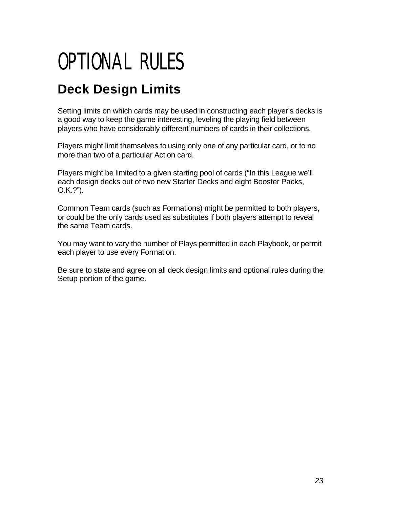### OPTIONAL RULES

#### **Deck Design Limits**

Setting limits on which cards may be used in constructing each player's decks is a good way to keep the game interesting, leveling the playing field between players who have considerably different numbers of cards in their collections.

Players might limit themselves to using only one of any particular card, or to no more than two of a particular Action card.

Players might be limited to a given starting pool of cards ("In this League we'll each design decks out of two new Starter Decks and eight Booster Packs, O.K.?").

Common Team cards (such as Formations) might be permitted to both players, or could be the only cards used as substitutes if both players attempt to reveal the same Team cards.

You may want to vary the number of Plays permitted in each Playbook, or permit each player to use every Formation.

Be sure to state and agree on all deck design limits and optional rules during the Setup portion of the game.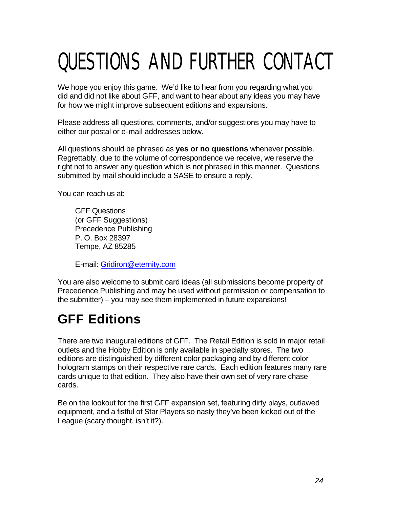# QUESTIONS AND FURTHER CONTACT

We hope you enjoy this game. We'd like to hear from you regarding what you did and did not like about GFF, and want to hear about any ideas you may have for how we might improve subsequent editions and expansions.

Please address all questions, comments, and/or suggestions you may have to either our postal or e-mail addresses below.

All questions should be phrased as **yes or no questions** whenever possible. Regrettably, due to the volume of correspondence we receive, we reserve the right not to answer any question which is not phrased in this manner. Questions submitted by mail should include a SASE to ensure a reply.

You can reach us at:

GFF Questions (or GFF Suggestions) Precedence Publishing P. O. Box 28397 Tempe, AZ 85285

E-mail: Gridiron@eternity.com

You are also welcome to submit card ideas (all submissions become property of Precedence Publishing and may be used without permission or compensation to the submitter) – you may see them implemented in future expansions!

#### **GFF Editions**

There are two inaugural editions of GFF. The Retail Edition is sold in major retail outlets and the Hobby Edition is only available in specialty stores. The two editions are distinguished by different color packaging and by different color hologram stamps on their respective rare cards. Each edition features many rare cards unique to that edition. They also have their own set of very rare chase cards.

Be on the lookout for the first GFF expansion set, featuring dirty plays, outlawed equipment, and a fistful of Star Players so nasty they've been kicked out of the League (scary thought, isn't it?).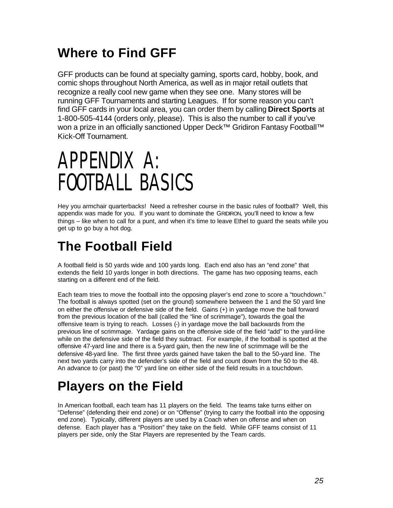#### **Where to Find GFF**

GFF products can be found at specialty gaming, sports card, hobby, book, and comic shops throughout North America, as well as in major retail outlets that recognize a really cool new game when they see one. Many stores will be running GFF Tournaments and starting Leagues. If for some reason you can't find GFF cards in your local area, you can order them by calling **Direct Sports** at 1-800-505-4144 (orders only, please). This is also the number to call if you've won a prize in an officially sanctioned Upper Deck™ Gridiron Fantasy Football™ Kick-Off Tournament.

### APPENDIX A: FOOTBALL BASICS

Hey you armchair quarterbacks! Need a refresher course in the basic rules of football? Well, this appendix was made for you. If you want to dominate the GRIDIRON, you'll need to know a few things – like when to call for a punt, and when it's time to leave Ethel to guard the seats while you get up to go buy a hot dog.

#### **The Football Field**

A football field is 50 yards wide and 100 yards long. Each end also has an "end zone" that extends the field 10 yards longer in both directions. The game has two opposing teams, each starting on a different end of the field.

Each team tries to move the football into the opposing player's end zone to score a "touchdown." The football is always spotted (set on the ground) somewhere between the 1 and the 50 yard line on either the offensive or defensive side of the field. Gains (+) in yardage move the ball forward from the previous location of the ball (called the "line of scrimmage"), towards the goal the offensive team is trying to reach. Losses (-) in yardage move the ball backwards from the previous line of scrimmage. Yardage gains on the offensive side of the field "add" to the yard-line while on the defensive side of the field they subtract. For example, if the football is spotted at the offensive 47-yard line and there is a 5-yard gain, then the new line of scrimmage will be the defensive 48-yard line. The first three yards gained have taken the ball to the 50-yard line. The next two yards carry into the defender's side of the field and count down from the 50 to the 48. An advance to (or past) the "0" yard line on either side of the field results in a touchdown.

#### **Players on the Field**

In American football, each team has 11 players on the field. The teams take turns either on "Defense" (defending their end zone) or on "Offense" (trying to carry the football into the opposing end zone). Typically, different players are used by a Coach when on offense and when on defense. Each player has a "Position" they take on the field. While GFF teams consist of 11 players per side, only the Star Players are represented by the Team cards.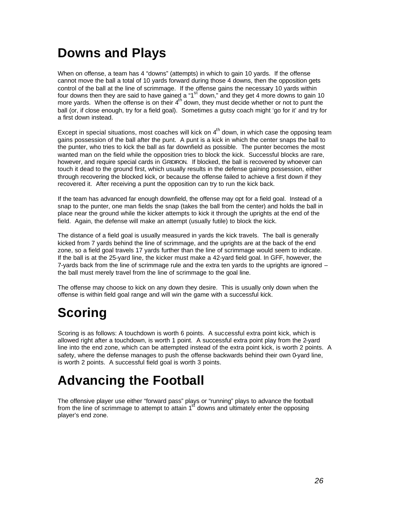#### **Downs and Plays**

When on offense, a team has 4 "downs" (attempts) in which to gain 10 yards. If the offense cannot move the ball a total of 10 yards forward during those 4 downs, then the opposition gets control of the ball at the line of scrimmage. If the offense gains the necessary 10 yards within four downs then they are said to have gained a " $1<sup>st</sup>$  down," and they get 4 more downs to gain 10 more yards. When the offense is on their 4<sup>th</sup> down, they must decide whether or not to punt the ball (or, if close enough, try for a field goal). Sometimes a gutsy coach might 'go for it' and try for a first down instead.

Except in special situations, most coaches will kick on  $4<sup>th</sup>$  down, in which case the opposing team gains possession of the ball after the punt. A punt is a kick in which the center snaps the ball to the punter, who tries to kick the ball as far downfield as possible. The punter becomes the most wanted man on the field while the opposition tries to block the kick. Successful blocks are rare, however, and require special cards in GRIDIRON. If blocked, the ball is recovered by whoever can touch it dead to the ground first, which usually results in the defense gaining possession, either through recovering the blocked kick, or because the offense failed to achieve a first down if they recovered it. After receiving a punt the opposition can try to run the kick back.

If the team has advanced far enough downfield, the offense may opt for a field goal. Instead of a snap to the punter, one man fields the snap (takes the ball from the center) and holds the ball in place near the ground while the kicker attempts to kick it through the uprights at the end of the field. Again, the defense will make an attempt (usually futile) to block the kick.

The distance of a field goal is usually measured in yards the kick travels. The ball is generally kicked from 7 yards behind the line of scrimmage, and the uprights are at the back of the end zone, so a field goal travels 17 yards further than the line of scrimmage would seem to indicate. If the ball is at the 25-yard line, the kicker must make a 42-yard field goal. In GFF, however, the 7-yards back from the line of scrimmage rule and the extra ten yards to the uprights are ignored – the ball must merely travel from the line of scrimmage to the goal line.

The offense may choose to kick on any down they desire. This is usually only down when the offense is within field goal range and will win the game with a successful kick.

#### **Scoring**

Scoring is as follows: A touchdown is worth 6 points. A successful extra point kick, which is allowed right after a touchdown, is worth 1 point. A successful extra point play from the 2-yard line into the end zone, which can be attempted instead of the extra point kick, is worth 2 points. A safety, where the defense manages to push the offense backwards behind their own 0-yard line, is worth 2 points. A successful field goal is worth 3 points.

#### **Advancing the Football**

The offensive player use either "forward pass" plays or "running" plays to advance the football from the line of scrimmage to attempt to attain 1<sup>st</sup> downs and ultimately enter the opposing player's end zone.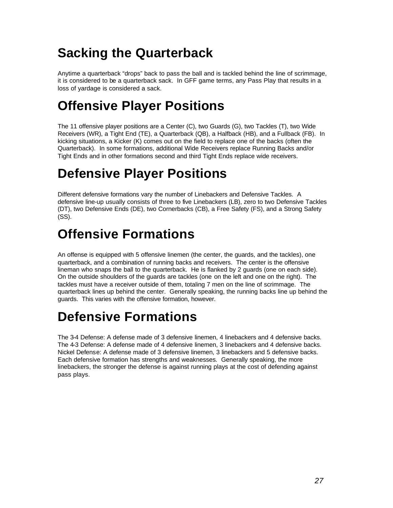#### **Sacking the Quarterback**

Anytime a quarterback "drops" back to pass the ball and is tackled behind the line of scrimmage, it is considered to be a quarterback sack. In GFF game terms, any Pass Play that results in a loss of yardage is considered a sack.

#### **Offensive Player Positions**

The 11 offensive player positions are a Center (C), two Guards (G), two Tackles (T), two Wide Receivers (WR), a Tight End (TE), a Quarterback (QB), a Halfback (HB), and a Fullback (FB). In kicking situations, a Kicker (K) comes out on the field to replace one of the backs (often the Quarterback). In some formations, additional Wide Receivers replace Running Backs and/or Tight Ends and in other formations second and third Tight Ends replace wide receivers.

#### **Defensive Player Positions**

Different defensive formations vary the number of Linebackers and Defensive Tackles. A defensive line-up usually consists of three to five Linebackers (LB), zero to two Defensive Tackles (DT), two Defensive Ends (DE), two Cornerbacks (CB), a Free Safety (FS), and a Strong Safety (SS).

#### **Offensive Formations**

An offense is equipped with 5 offensive linemen (the center, the guards, and the tackles), one quarterback, and a combination of running backs and receivers. The center is the offensive lineman who snaps the ball to the quarterback. He is flanked by 2 guards (one on each side). On the outside shoulders of the guards are tackles (one on the left and one on the right). The tackles must have a receiver outside of them, totaling 7 men on the line of scrimmage. The quarterback lines up behind the center. Generally speaking, the running backs line up behind the guards. This varies with the offensive formation, however.

#### **Defensive Formations**

The 3-4 Defense: A defense made of 3 defensive linemen, 4 linebackers and 4 defensive backs. The 4-3 Defense: A defense made of 4 defensive linemen, 3 linebackers and 4 defensive backs. Nickel Defense: A defense made of 3 defensive linemen, 3 linebackers and 5 defensive backs. Each defensive formation has strengths and weaknesses. Generally speaking, the more linebackers, the stronger the defense is against running plays at the cost of defending against pass plays.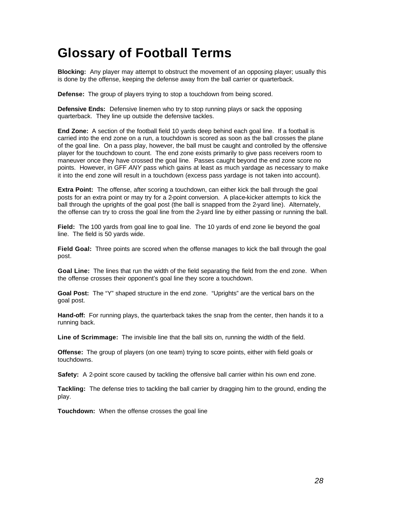#### **Glossary of Football Terms**

**Blocking:** Any player may attempt to obstruct the movement of an opposing player; usually this is done by the offense, keeping the defense away from the ball carrier or quarterback.

**Defense:** The group of players trying to stop a touchdown from being scored.

**Defensive Ends:** Defensive linemen who try to stop running plays or sack the opposing quarterback. They line up outside the defensive tackles.

**End Zone:** A section of the football field 10 yards deep behind each goal line. If a football is carried into the end zone on a run, a touchdown is scored as soon as the ball crosses the plane of the goal line. On a pass play, however, the ball must be caught and controlled by the offensive player for the touchdown to count. The end zone exists primarily to give pass receivers room to maneuver once they have crossed the goal line. Passes caught beyond the end zone score no points. However, in GFF *ANY* pass which gains at least as much yardage as necessary to make it into the end zone will result in a touchdown (excess pass yardage is not taken into account).

**Extra Point:** The offense, after scoring a touchdown, can either kick the ball through the goal posts for an extra point or may try for a 2-point conversion. A place-kicker attempts to kick the ball through the uprights of the goal post (the ball is snapped from the 2-yard line). Alternately, the offense can try to cross the goal line from the 2-yard line by either passing or running the ball.

**Field:** The 100 yards from goal line to goal line. The 10 yards of end zone lie beyond the goal line. The field is 50 yards wide.

**Field Goal:** Three points are scored when the offense manages to kick the ball through the goal post.

**Goal Line:** The lines that run the width of the field separating the field from the end zone. When the offense crosses their opponent's goal line they score a touchdown.

**Goal Post:** The "Y" shaped structure in the end zone. "Uprights" are the vertical bars on the goal post.

**Hand-off:** For running plays, the quarterback takes the snap from the center, then hands it to a running back.

**Line of Scrimmage:** The invisible line that the ball sits on, running the width of the field.

**Offense:** The group of players (on one team) trying to score points, either with field goals or touchdowns.

**Safety:** A 2-point score caused by tackling the offensive ball carrier within his own end zone.

**Tackling:** The defense tries to tackling the ball carrier by dragging him to the ground, ending the play.

**Touchdown:** When the offense crosses the goal line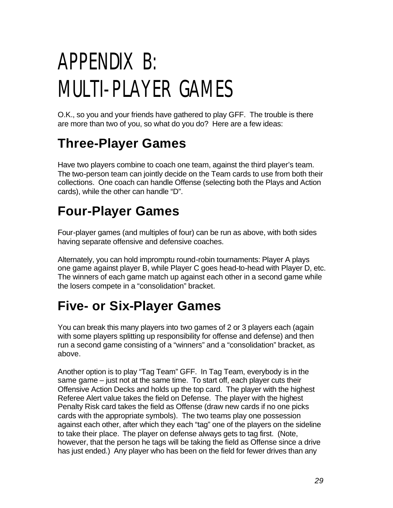# APPENDIX B: MULTI-PLAYER GAMES

O.K., so you and your friends have gathered to play GFF. The trouble is there are more than two of you, so what do you do? Here are a few ideas:

#### **Three-Player Games**

Have two players combine to coach one team, against the third player's team. The two-person team can jointly decide on the Team cards to use from both their collections. One coach can handle Offense (selecting both the Plays and Action cards), while the other can handle "D".

#### **Four-Player Games**

Four-player games (and multiples of four) can be run as above, with both sides having separate offensive and defensive coaches.

Alternately, you can hold impromptu round-robin tournaments: Player A plays one game against player B, while Player C goes head-to-head with Player D, etc. The winners of each game match up against each other in a second game while the losers compete in a "consolidation" bracket.

#### **Five- or Six-Player Games**

You can break this many players into two games of 2 or 3 players each (again with some players splitting up responsibility for offense and defense) and then run a second game consisting of a "winners" and a "consolidation" bracket, as above.

Another option is to play "Tag Team" GFF. In Tag Team, everybody is in the same game – just not at the same time. To start off, each player cuts their Offensive Action Decks and holds up the top card. The player with the highest Referee Alert value takes the field on Defense. The player with the highest Penalty Risk card takes the field as Offense (draw new cards if no one picks cards with the appropriate symbols). The two teams play one possession against each other, after which they each "tag" one of the players on the sideline to take their place. The player on defense always gets to tag first. (Note, however, that the person he tags will be taking the field as Offense since a drive has just ended.) Any player who has been on the field for fewer drives than any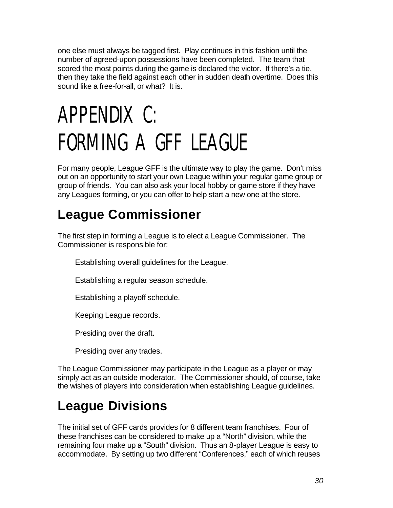one else must always be tagged first. Play continues in this fashion until the number of agreed-upon possessions have been completed. The team that scored the most points during the game is declared the victor. If there's a tie, then they take the field against each other in sudden death overtime. Does this sound like a free-for-all, or what? It is.

# APPENDIX C: FORMING A GFF LEAGUE

For many people, League GFF is the ultimate way to play the game. Don't miss out on an opportunity to start your own League within your regular game group or group of friends. You can also ask your local hobby or game store if they have any Leagues forming, or you can offer to help start a new one at the store.

#### **League Commissioner**

The first step in forming a League is to elect a League Commissioner. The Commissioner is responsible for:

Establishing overall guidelines for the League.

Establishing a regular season schedule.

Establishing a playoff schedule.

Keeping League records.

Presiding over the draft.

Presiding over any trades.

The League Commissioner may participate in the League as a player or may simply act as an outside moderator. The Commissioner should, of course, take the wishes of players into consideration when establishing League guidelines.

#### **League Divisions**

The initial set of GFF cards provides for 8 different team franchises. Four of these franchises can be considered to make up a "North" division, while the remaining four make up a "South" division. Thus an 8-player League is easy to accommodate. By setting up two different "Conferences," each of which reuses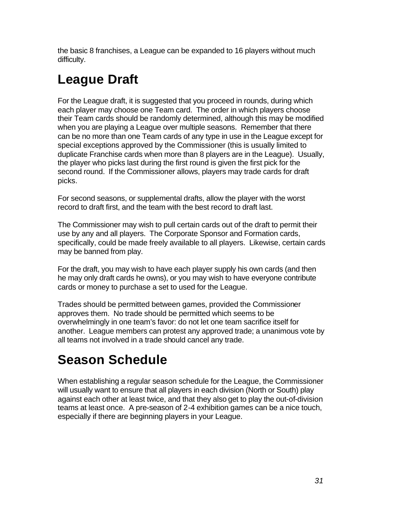the basic 8 franchises, a League can be expanded to 16 players without much difficulty.

#### **League Draft**

For the League draft, it is suggested that you proceed in rounds, during which each player may choose one Team card. The order in which players choose their Team cards should be randomly determined, although this may be modified when you are playing a League over multiple seasons. Remember that there can be no more than one Team cards of any type in use in the League except for special exceptions approved by the Commissioner (this is usually limited to duplicate Franchise cards when more than 8 players are in the League). Usually, the player who picks last during the first round is given the first pick for the second round. If the Commissioner allows, players may trade cards for draft picks.

For second seasons, or supplemental drafts, allow the player with the worst record to draft first, and the team with the best record to draft last.

The Commissioner may wish to pull certain cards out of the draft to permit their use by any and all players. The Corporate Sponsor and Formation cards, specifically, could be made freely available to all players. Likewise, certain cards may be banned from play.

For the draft, you may wish to have each player supply his own cards (and then he may only draft cards he owns), or you may wish to have everyone contribute cards or money to purchase a set to used for the League.

Trades should be permitted between games, provided the Commissioner approves them. No trade should be permitted which seems to be overwhelmingly in one team's favor: do not let one team sacrifice itself for another. League members can protest any approved trade; a unanimous vote by all teams not involved in a trade should cancel any trade.

#### **Season Schedule**

When establishing a regular season schedule for the League, the Commissioner will usually want to ensure that all players in each division (North or South) play against each other at least twice, and that they also get to play the out-of-division teams at least once. A pre-season of 2-4 exhibition games can be a nice touch, especially if there are beginning players in your League.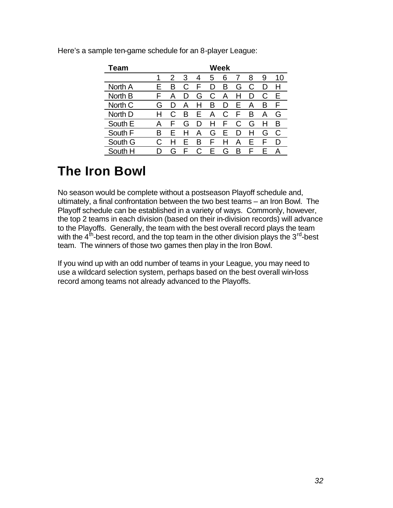| Team    | Week |     |   |   |     |     |   |     |   |    |
|---------|------|-----|---|---|-----|-----|---|-----|---|----|
|         |      | 2   | 3 | 4 | 5   | 6   |   | 8   | 9 | 10 |
| North A | ⊢    | в   |   |   | נ ו | в   | G | C   |   |    |
| North B | F    | А   |   | G | C   | А   | н | נ ו | C | Е  |
| North C | G    | נ ו | А | н | в   | נ ו | F | А   | в | F  |
| North D |      | С   | B | F | А   | C   | F | в   | А | G  |
| South E | А    | ۳   | G | Ð | н   | ۳   | C | G   | н | в  |
| South F | в    | F   |   | А | G   | F   | D |     | G | C  |
| South G |      |     | F | B | F   |     | А | F   | ⊢ | D  |
| South H |      | G   |   |   | F   | G   | в | ь.  | ⊢ | A  |

Here's a sample ten-game schedule for an 8-player League:

#### **The Iron Bowl**

No season would be complete without a postseason Playoff schedule and, ultimately, a final confrontation between the two best teams – an Iron Bowl. The Playoff schedule can be established in a variety of ways. Commonly, however, the top 2 teams in each division (based on their in-division records) will advance to the Playoffs. Generally, the team with the best overall record plays the team with the 4<sup>th</sup>-best record, and the top team in the other division plays the 3<sup>rd</sup>-best team. The winners of those two games then play in the Iron Bowl.

If you wind up with an odd number of teams in your League, you may need to use a wildcard selection system, perhaps based on the best overall win-loss record among teams not already advanced to the Playoffs.